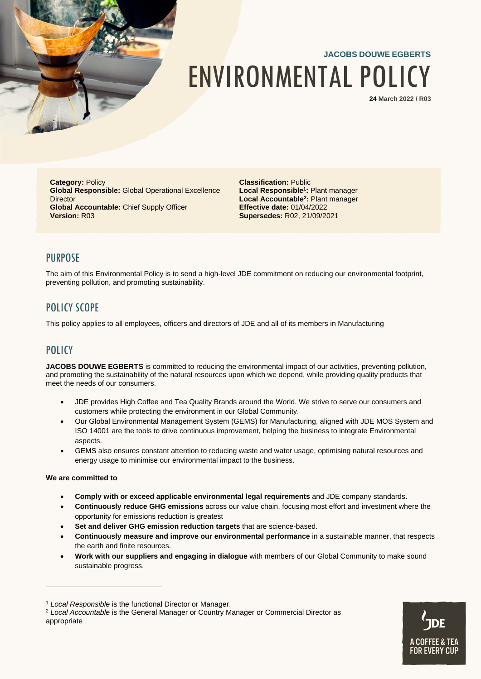

# **JACOBS DOUWE EGBERTS** ENVIRONMENTAL POLICY

**24 March 2022 / R03**

**Category: Policy Global Responsible:** Global Operational Excellence **Director Global Accountable:** Chief Supply Officer **Version:** R03

**Classification:** Public **Local Responsible<sup>1</sup> :** Plant manager **Local Accountable<sup>2</sup> :** Plant manager **Effective date:** 01/04/2022 **Supersedes:** R02, 21/09/2021

### PURPOSE

The aim of this Environmental Policy is to send a high-level JDE commitment on reducing our environmental footprint, preventing pollution, and promoting sustainability.

# POLICY SCOPE

This policy applies to all employees, officers and directors of JDE and all of its members in Manufacturing

## **POLICY**

**JACOBS DOUWE EGBERTS** is committed to reducing the environmental impact of our activities, preventing pollution, and promoting the sustainability of the natural resources upon which we depend, while providing quality products that meet the needs of our consumers.

- JDE provides High Coffee and Tea Quality Brands around the World. We strive to serve our consumers and customers while protecting the environment in our Global Community.
- Our Global Environmental Management System (GEMS) for Manufacturing, aligned with JDE MOS System and ISO 14001 are the tools to drive continuous improvement, helping the business to integrate Environmental aspects.
- GEMS also ensures constant attention to reducing waste and water usage, optimising natural resources and energy usage to minimise our environmental impact to the business.

#### **We are committed to**

- **Comply with or exceed applicable environmental legal requirements** and JDE company standards.
- **Continuously reduce GHG emissions** across our value chain, focusing most effort and investment where the opportunity for emissions reduction is greatest
- **Set and deliver GHG emission reduction targets** that are science-based.
- **Continuously measure and improve our environmental performance** in a sustainable manner, that respects the earth and finite resources.
- **Work with our suppliers and engaging in dialogue** with members of our Global Community to make sound sustainable progress.

<sup>2</sup> *Local Accountable* is the General Manager or Country Manager or Commercial Director as appropriate



<sup>1</sup> *Local Responsible* is the functional Director or Manager.